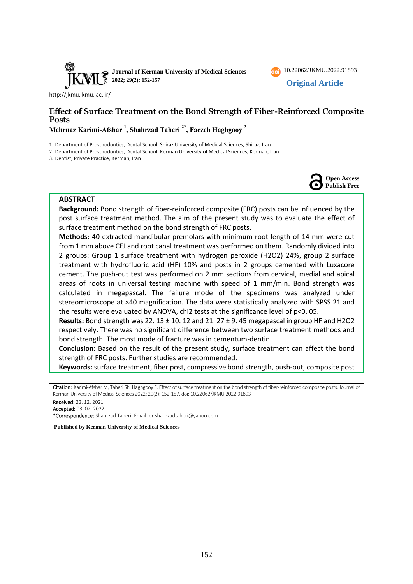

[http://jkmu. kmu. ac. ir/](http://jkmu.kmu.ac.ir/)

# **Effect of Surface Treatment on the Bond Strength of Fiber-Reinforced Composite Posts**

**Mehrnaz Karimi-Afshar <sup>1</sup> , Shahrzad Taheri 2\* , Faezeh Haghgooy <sup>3</sup>**

1. Department of Prosthodontics, Dental School, Shiraz University of Medical Sciences, Shiraz, Iran

2. Department of Prosthodontics, Dental School, Kerman University of Medical Sciences, Kerman, Iran

3. Dentist, Private Practice, Kerman, Iran



[10.22062/JKMU.2022.91893](https://dx.doi.org/10.22062/jkmu.2022.91893) **Original Article**

### **ABSTRACT**

**Background:** Bond strength of fiber-reinforced composite (FRC) posts can be influenced by the post surface treatment method. The aim of the present study was to evaluate the effect of surface treatment method on the bond strength of FRC posts.

**Methods:** 40 extracted mandibular premolars with minimum root length of 14 mm were cut from 1 mm above CEJ and root canal treatment was performed on them. Randomly divided into 2 groups: Group 1 surface treatment with hydrogen peroxide (H2O2) 24%, group 2 surface treatment with hydrofluoric acid (HF) 10% and posts in 2 groups cemented with Luxacore cement. The push-out test was performed on 2 mm sections from cervical, medial and apical areas of roots in universal testing machine with speed of 1 mm/min. Bond strength was calculated in megapascal. The failure mode of the specimens was analyzed under stereomicroscope at ×40 magnification. The data were statistically analyzed with SPSS 21 and the results were evaluated by ANOVA, chi2 tests at the significance level of p<0. 05.

**Results:** Bond strength was 22. 13 ± 10. 12 and 21. 27 ± 9. 45 megapascal in group HF and H2O2 respectively. There was no significant difference between two surface treatment methods and bond strength. The most mode of fracture was in cementum-dentin.

**Conclusion:** Based on the result of the present study, surface treatment can affect the bond strength of FRC posts. Further studies are recommended.

**Keywords:** surface treatment, fiber post, compressive bond strength, push-out, composite post

Received: 22. 12. 2021

\*Correspondence: Shahrzad Taheri; Email: [dr.shahrzadtaheri@yahoo.com](mailto:dr.shahrzadtaheri@yahoo.com) 

**Published by Kerman University of Medical Sciences**

Citation: Karimi-Afshar M, Taheri Sh, Haghgooy F. Effect of surface treatment on the bond strength of fiber-reinforced composite posts. Journal of Kerman University of Medical Sciences 2022; 29(2): 152-157. doi: [10.22062/JKMU.2022.91893](https://dx.doi.org/10.22062/jkmu.2022.91893)

Accepted: 03. 02. 2022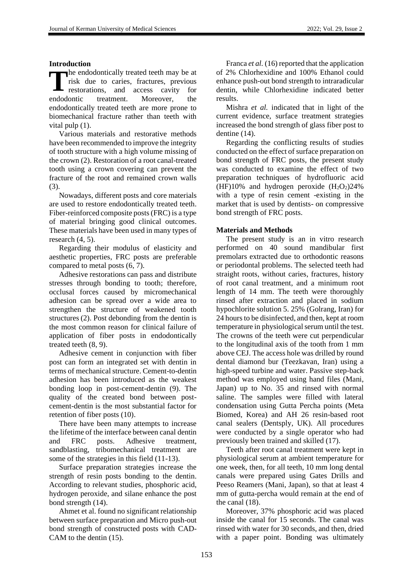# **Introduction**

**h**e endodontically treated teeth may be at risk due to caries, fractures, previous restorations, and access cavity for endodontic treatment. Moreover, the endodontically treated teeth are more prone to biomechanical fracture rather than teeth with vital pulp (1). **T**

Various materials and restorative methods have been recommended to improve the integrity of tooth structure with a high volume missing of the crown (2). Restoration of a root canal-treated tooth using a crown covering can prevent the fracture of the root and remained crown walls (3).

Nowadays, different posts and core materials are used to restore endodontically treated teeth. Fiber-reinforced composite posts (FRC) is a type of material bringing good clinical outcomes. These materials have been used in many types of research (4, 5).

Regarding their modulus of elasticity and aesthetic properties, FRC posts are preferable compared to metal posts (6, 7).

Adhesive restorations can pass and distribute stresses through bonding to tooth; therefore, occlusal forces caused by micromechanical adhesion can be spread over a wide area to strengthen the structure of weakened tooth structures (2). Post debonding from the dentin is the most common reason for clinical failure of application of fiber posts in endodontically treated teeth (8, 9).

Adhesive cement in conjunction with fiber post can form an integrated set with dentin in terms of mechanical structure. Cement-to-dentin adhesion has been introduced as the weakest bonding loop in post-cement-dentin (9). The quality of the created bond between postcement-dentin is the most substantial factor for retention of fiber posts (10).

There have been many attempts to increase the lifetime of the interface between canal dentin and FRC posts. Adhesive treatment, sandblasting, tribomechanical treatment are some of the strategies in this field (11-13).

Surface preparation strategies increase the strength of resin posts bonding to the dentin. According to relevant studies, phosphoric acid, hydrogen peroxide, and silane enhance the post bond strength (14).

Ahmet et al. found no significant relationship between surface preparation and Micro push-out bond strength of constructed posts with CAD-CAM to the dentin (15).

Franca *et al.* (16) reported that the application of 2% Chlorhexidine and 100% Ethanol could enhance push-out bond strength to intraradicular dentin, while Chlorhexidine indicated better results.

Mishra *et al.* indicated that in light of the current evidence, surface treatment strategies increased the bond strength of glass fiber post to dentine (14).

Regarding the conflicting results of studies conducted on the effect of surface preparation on bond strength of FRC posts, the present study was conducted to examine the effect of two preparation techniques of hydrofluoric acid (HF)10% and hydrogen peroxide  $(H_2O_2)24\%$ with a type of resin cement -existing in the market that is used by dentists- on compressive bond strength of FRC posts.

# **Materials and Methods**

The present study is an in vitro research performed on 40 sound mandibular first premolars extracted due to orthodontic reasons or periodontal problems. The selected teeth had straight roots, without caries, fractures, history of root canal treatment, and a minimum root length of 14 mm. The teeth were thoroughly rinsed after extraction and placed in sodium hypochlorite solution 5. 25% (Golrang, Iran) for 24 hours to be disinfected, and then, kept at room temperature in physiological serum until the test. The crowns of the teeth were cut perpendicular to the longitudinal axis of the tooth from 1 mm above CEJ. The access hole was drilled by round dental diamond bur (Teezkavan, Iran) using a high-speed turbine and water. Passive step-back method was employed using hand files (Mani, Japan) up to No. 35 and rinsed with normal saline. The samples were filled with lateral condensation using Gutta Percha points (Meta Biomed, Korea) and AH 26 resin-based root canal sealers (Dentsply, UK). All procedures were conducted by a single operator who had previously been trained and skilled (17).

Teeth after root canal treatment were kept in physiological serum at ambient temperature for one week, then, for all teeth, 10 mm long dental canals were prepared using Gates Drills and Peeso Reamers (Mani, Japan), so that at least 4 mm of gutta-percha would remain at the end of the canal (18).

Moreover, 37% phosphoric acid was placed inside the canal for 15 seconds. The canal was rinsed with water for 30 seconds, and then, dried with a paper point. Bonding was ultimately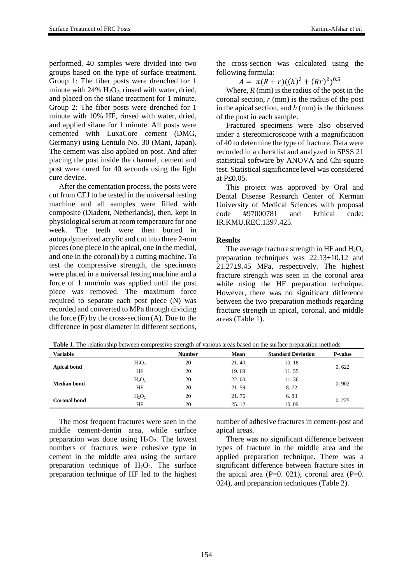performed. 40 samples were divided into two groups based on the type of surface treatment. Group 1: The fiber posts were drenched for 1 minute with  $24\%$  H<sub>2</sub>O<sub>2</sub>, rinsed with water, dried, and placed on the silane treatment for 1 minute. Group 2: The fiber posts were drenched for 1 minute with 10% HF, rinsed with water, dried, and applied silane for 1 minute. All posts were cemented with LuxaCore cement (DMG, Germany) using Lentulo No. 30 (Mani, Japan). The cement was also applied on post. And after placing the post inside the channel, cement and post were cured for 40 seconds using the light cure device.

After the cementation process, the posts were cut from CEJ to be tested in the universal testing machine and all samples were filled with composite (Diadent, Netherlands), then, kept in physiological serum at room temperature for one week. The teeth were then buried in autopolymerized acrylic and cut into three 2-mm pieces (one piece in the apical, one in the medial, and one in the coronal) by a cutting machine. To test the compressive strength, the specimens were placed in a universal testing machine and a force of 1 mm/min was applied until the post piece was removed. The maximum force required to separate each post piece (N) was recorded and converted to MPa through dividing the force  $(F)$  by the cross-section  $(A)$ . Due to the difference in post diameter in different sections, the cross-section was calculated using the following formula:

 $A = \pi (R + r)((h)^2 + (Rr)^2)^{0.5}$ 

Where,  $R$  (mm) is the radius of the post in the coronal section, *r* (mm) is the radius of the post in the apical section, and *h* (mm) is the thickness of the post in each sample.

Fractured specimens were also observed under a stereomicroscope with a magnification of 40 to determine the type of fracture. Data were recorded in a checklist and analyzed in SPSS 21 statistical software by ANOVA and Chi-square test. Statistical significance level was considered at P≤0.05.

This project was approved by Oral and Dental Disease Research Center of Kerman University of Medical Sciences with proposal code #97000781 and Ethical code: IR.KMU.REC.1397.425.

# **Results**

The average fracture strength in HF and  $H_2O_2$ preparation techniques was 22.13±10.12 and 21.27±9.45 MPa, respectively. The highest fracture strength was seen in the coronal area while using the HF preparation technique. However, there was no significant difference between the two preparation methods regarding fracture strength in apical, coronal, and middle areas (Table 1).

| <b>Variable</b>     |          | <b>Number</b> | Mean  | <b>Standard Deviation</b> | <b>P-value</b> |
|---------------------|----------|---------------|-------|---------------------------|----------------|
| <b>Apical bond</b>  | $H_2O_2$ | 20            | 21.40 | 10.18                     | 0.622          |
|                     | HF       | 20            | 19.69 | 11.55                     |                |
| Median bond         | $H_2O_2$ | 20            | 22.00 | 11.36                     | 0.902          |
|                     | HF       | 20            | 21.59 | 8.72                      |                |
| <b>Coronal bond</b> | $H_2O_2$ | 20            | 21.76 | 6.83                      | 0.225          |
|                     | HF       | 20            | 25.12 | 10.09                     |                |

**Table 1.** The relationship between compressive strength of various areas based on the surface preparation methods

The most frequent fractures were seen in the middle cement-dentin area, while surface preparation was done using  $H_2O_2$ . The lowest numbers of fractures were cohesive type in cement in the middle area using the surface preparation technique of  $H_2O_2$ . The surface preparation technique of HF led to the highest number of adhesive fractures in cement-post and apical areas.

There was no significant difference between types of fracture in the middle area and the applied preparation technique. There was a significant difference between fracture sites in the apical area  $(P=0. 021)$ , coronal area  $(P=0. 021)$ 024), and preparation techniques (Table 2).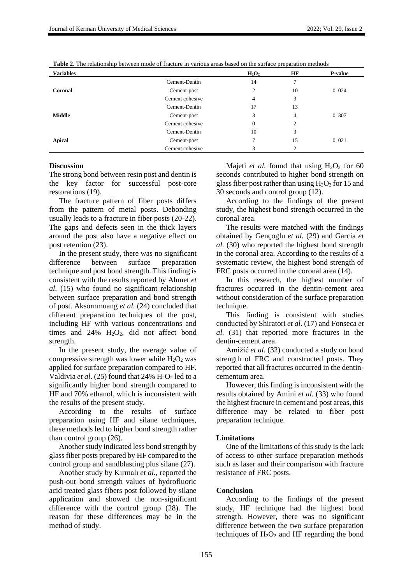| <b>Variables</b> |                 | $H_2O_2$       | HF | P-value |  |
|------------------|-----------------|----------------|----|---------|--|
|                  | Cement-Dentin   | 14             |    |         |  |
| Coronal          | Cement-post     | $\overline{c}$ | 10 | 0.024   |  |
|                  | Cement cohesive | $\overline{4}$ | 3  |         |  |
|                  | Cement-Dentin   | 17             | 13 |         |  |
| <b>Middle</b>    | Cement-post     | 3              | 4  | 0.307   |  |
|                  | Cement cohesive | $\theta$       | 2  |         |  |
|                  | Cement-Dentin   | 10             | 3  |         |  |
| <b>Apical</b>    | Cement-post     |                | 15 | 0.021   |  |
|                  | Cement cohesive | 3              | C  |         |  |

**Table 2.** The relationship between mode of fracture in various areas based on the surface preparation methods

#### **Discussion**

The strong bond between resin post and dentin is the key factor for successful post-core restorations (19).

The fracture pattern of fiber posts differs from the pattern of metal posts. Debonding usually leads to a fracture in fiber posts (20-22). The gaps and defects seen in the thick layers around the post also have a negative effect on post retention (23).

In the present study, there was no significant difference between surface preparation technique and post bond strength. This finding is consistent with the results reported by Ahmet *et al.* (15) who found no significant relationship between surface preparation and bond strength of post. Aksornmuang *et al.* (24) concluded that different preparation techniques of the post, including HF with various concentrations and times and  $24\%$  H<sub>2</sub>O<sub>2</sub>, did not affect bond strength.

In the present study, the average value of compressive strength was lower while  $H_2O_2$  was applied for surface preparation compared to HF. Valdivia *et al.* (25) found that  $24\%$  H<sub>2</sub>O<sub>2</sub> led to a significantly higher bond strength compared to HF and 70% ethanol, which is inconsistent with the results of the present study.

According to the results of surface preparation using HF and silane techniques, these methods led to higher bond strength rather than control group (26).

Another study indicated less bond strength by glass fiber posts prepared by HF compared to the control group and sandblasting plus silane (27).

Another study by Kırmalı *et al.,* reported the push-out bond strength values of hydrofluoric acid treated glass fibers post followed by silane application and showed the non-significant difference with the control group (28). The reason for these differences may be in the method of study.

Majeti *et al.* found that using  $H_2O_2$  for 60 seconds contributed to higher bond strength on glass fiber post rather than using  $H_2O_2$  for 15 and 30 seconds and control group (12).

According to the findings of the present study, the highest bond strength occurred in the coronal area.

The results were matched with the findings obtained by Gençoglu *et al.* (29) and Garcia *et al.* (30) who reported the highest bond strength in the coronal area. According to the results of a systematic review, the highest bond strength of FRC posts occurred in the coronal area  $(14)$ .

In this research, the highest number of fractures occurred in the dentin-cement area without consideration of the surface preparation technique.

This finding is consistent with studies conducted by Shiratori *et al.* (17) and Fonseca *et al.* (31) that reported more fractures in the dentin-cement area.

Amižić *et al.* (32) conducted a study on bond strength of FRC and constructed posts. They reported that all fractures occurred in the dentincementum area.

However, this finding is inconsistent with the results obtained by Amini *et al.* (33) who found the highest fracture in cement and post areas, this difference may be related to fiber post preparation technique.

#### **Limitations**

One of the limitations of this study is the lack of access to other surface preparation methods such as laser and their comparison with fracture resistance of FRC posts.

### **Conclusion**

According to the findings of the present study, HF technique had the highest bond strength. However, there was no significant difference between the two surface preparation techniques of  $H_2O_2$  and HF regarding the bond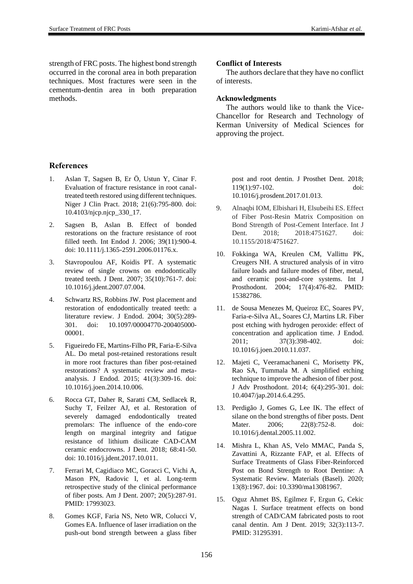strength of FRC posts. The highest bond strength occurred in the coronal area in both preparation techniques. Most fractures were seen in the cementum-dentin area in both preparation methods.

# **References**

- 1. Aslan T, Sagsen B, Er Ö, Ustun Y, Cinar F. Evaluation of fracture resistance in root canaltreated teeth restored using different techniques. Niger J Clin Pract. 2018; 21(6):795-800. doi: 10.4103/njcp.njcp\_330\_17.
- 2. Sagsen B, Aslan B. Effect of bonded restorations on the fracture resistance of root filled teeth. Int Endod J. 2006; 39(11):900-4. doi: 10.1111/j.1365-2591.2006.01176.x.
- 3. Stavropoulou AF, Koidis PT. A systematic review of single crowns on endodontically treated teeth. J Dent. 2007; 35(10):761-7. doi: 10.1016/j.jdent.2007.07.004.
- 4. Schwartz RS, Robbins JW. Post placement and restoration of endodontically treated teeth: a literature review. J Endod. 2004; 30(5):289- 301. doi: 10.1097/00004770-200405000- 00001.
- 5. Figueiredo FE, Martins-Filho PR, Faria-E-Silva AL. Do metal post-retained restorations result in more root fractures than fiber post-retained restorations? A systematic review and metaanalysis. J Endod. 2015; 41(3):309-16. doi: 10.1016/j.joen.2014.10.006.
- 6. Rocca GT, Daher R, Saratti CM, Sedlacek R, Suchy T, Feilzer AJ, et al. Restoration of severely damaged endodontically treated premolars: The influence of the endo-core length on marginal integrity and fatigue resistance of lithium disilicate CAD-CAM ceramic endocrowns. J Dent. 2018; 68:41-50. doi: 10.1016/j.jdent.2017.10.011.
- 7. Ferrari M, Cagidiaco MC, Goracci C, Vichi A, Mason PN, Radovic I, et al. Long-term retrospective study of the clinical performance of fiber posts. Am J Dent. 2007; 20(5):287-91. PMID: 17993023.
- 8. Gomes KGF, Faria NS, Neto WR, Colucci V, Gomes EA. Influence of laser irradiation on the push-out bond strength between a glass fiber

### **Conflict of Interests**

The authors declare that they have no conflict of interests.

### **Acknowledgments**

The authors would like to thank the Vice-Chancellor for Research and Technology of Kerman University of Medical Sciences for approving the project.

> post and root dentin. J Prosthet Dent. 2018; 119(1):97-102. doi: 10.1016/j.prosdent.2017.01.013.

- 9. Alnaqbi IOM, Elbishari H, Elsubeihi ES. Effect of Fiber Post-Resin Matrix Composition on Bond Strength of Post-Cement Interface. Int J Dent. 2018: 2018:4751627. doi: 10.1155/2018/4751627.
- 10. Fokkinga WA, Kreulen CM, Vallittu PK, Creugers NH. A structured analysis of in vitro failure loads and failure modes of fiber, metal, and ceramic post-and-core systems. Int J Prosthodont. 2004; 17(4):476-82. PMID: 15382786.
- 11. de Sousa Menezes M, Queiroz EC, Soares PV, Faria-e-Silva AL, Soares CJ, Martins LR. Fiber post etching with hydrogen peroxide: effect of concentration and application time. J Endod. 2011; 37(3):398-402. doi: 10.1016/j.joen.2010.11.037.
- 12. Majeti C, Veeramachaneni C, Morisetty PK, Rao SA, Tummala M. A simplified etching technique to improve the adhesion of fiber post. J Adv Prosthodont. 2014; 6(4):295-301. doi: 10.4047/jap.2014.6.4.295.
- 13. Perdigão J, Gomes G, Lee IK. The effect of silane on the bond strengths of fiber posts. Dent Mater. 2006; 22(8):752-8. doi: 10.1016/j.dental.2005.11.002.
- 14. Mishra L, Khan AS, Velo MMAC, Panda S, Zavattini A, Rizzante FAP, et al. Effects of Surface Treatments of Glass Fiber-Reinforced Post on Bond Strength to Root Dentine: A Systematic Review. Materials (Basel). 2020; 13(8):1967. doi: 10.3390/ma13081967.
- 15. Oguz Ahmet BS, Egilmez F, Ergun G, Cekic Nagas I. Surface treatment effects on bond strength of CAD/CAM fabricated posts to root canal dentin. Am J Dent. 2019; 32(3):113-7. PMID: 31295391.